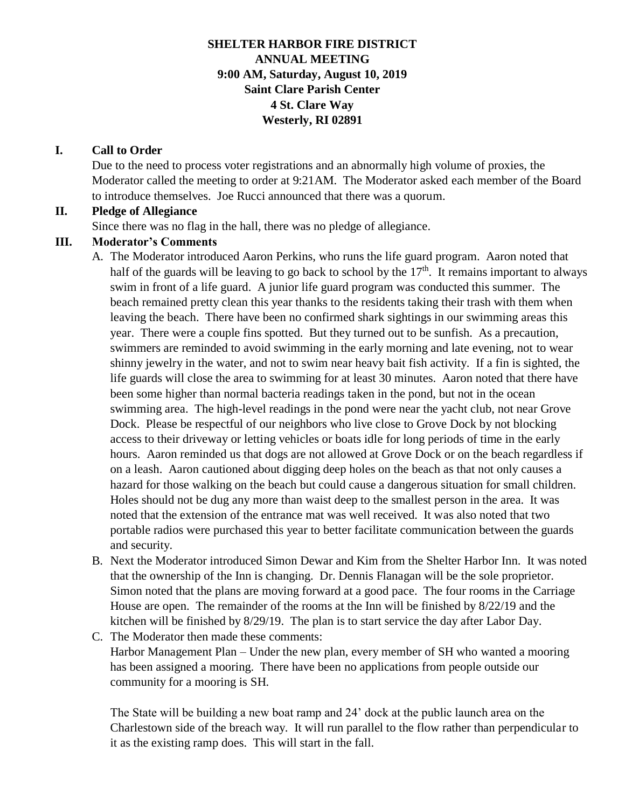## **SHELTER HARBOR FIRE DISTRICT ANNUAL MEETING 9:00 AM, Saturday, August 10, 2019 Saint Clare Parish Center 4 St. Clare Way Westerly, RI 02891**

#### **I. Call to Order**

Due to the need to process voter registrations and an abnormally high volume of proxies, the Moderator called the meeting to order at 9:21AM. The Moderator asked each member of the Board to introduce themselves. Joe Rucci announced that there was a quorum.

#### **II. Pledge of Allegiance**

Since there was no flag in the hall, there was no pledge of allegiance.

#### **III. Moderator's Comments**

A. The Moderator introduced Aaron Perkins, who runs the life guard program. Aaron noted that half of the guards will be leaving to go back to school by the  $17<sup>th</sup>$ . It remains important to always swim in front of a life guard. A junior life guard program was conducted this summer. The beach remained pretty clean this year thanks to the residents taking their trash with them when leaving the beach. There have been no confirmed shark sightings in our swimming areas this year. There were a couple fins spotted. But they turned out to be sunfish. As a precaution, swimmers are reminded to avoid swimming in the early morning and late evening, not to wear shinny jewelry in the water, and not to swim near heavy bait fish activity. If a fin is sighted, the life guards will close the area to swimming for at least 30 minutes. Aaron noted that there have been some higher than normal bacteria readings taken in the pond, but not in the ocean swimming area. The high-level readings in the pond were near the yacht club, not near Grove Dock. Please be respectful of our neighbors who live close to Grove Dock by not blocking access to their driveway or letting vehicles or boats idle for long periods of time in the early hours. Aaron reminded us that dogs are not allowed at Grove Dock or on the beach regardless if on a leash. Aaron cautioned about digging deep holes on the beach as that not only causes a hazard for those walking on the beach but could cause a dangerous situation for small children. Holes should not be dug any more than waist deep to the smallest person in the area. It was noted that the extension of the entrance mat was well received. It was also noted that two portable radios were purchased this year to better facilitate communication between the guards and security.

B. Next the Moderator introduced Simon Dewar and Kim from the Shelter Harbor Inn. It was noted that the ownership of the Inn is changing. Dr. Dennis Flanagan will be the sole proprietor. Simon noted that the plans are moving forward at a good pace. The four rooms in the Carriage House are open. The remainder of the rooms at the Inn will be finished by 8/22/19 and the kitchen will be finished by 8/29/19. The plan is to start service the day after Labor Day.

C. The Moderator then made these comments:

Harbor Management Plan – Under the new plan, every member of SH who wanted a mooring has been assigned a mooring. There have been no applications from people outside our community for a mooring is SH.

The State will be building a new boat ramp and 24' dock at the public launch area on the Charlestown side of the breach way. It will run parallel to the flow rather than perpendicular to it as the existing ramp does. This will start in the fall.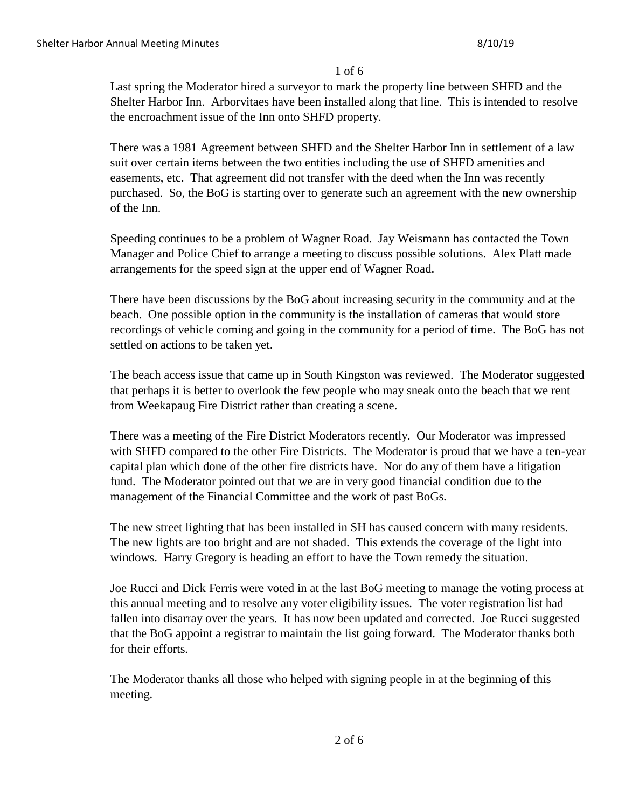#### 1 of 6

Last spring the Moderator hired a surveyor to mark the property line between SHFD and the Shelter Harbor Inn. Arborvitaes have been installed along that line. This is intended to resolve the encroachment issue of the Inn onto SHFD property.

There was a 1981 Agreement between SHFD and the Shelter Harbor Inn in settlement of a law suit over certain items between the two entities including the use of SHFD amenities and easements, etc. That agreement did not transfer with the deed when the Inn was recently purchased. So, the BoG is starting over to generate such an agreement with the new ownership of the Inn.

Speeding continues to be a problem of Wagner Road. Jay Weismann has contacted the Town Manager and Police Chief to arrange a meeting to discuss possible solutions. Alex Platt made arrangements for the speed sign at the upper end of Wagner Road.

There have been discussions by the BoG about increasing security in the community and at the beach. One possible option in the community is the installation of cameras that would store recordings of vehicle coming and going in the community for a period of time. The BoG has not settled on actions to be taken yet.

The beach access issue that came up in South Kingston was reviewed. The Moderator suggested that perhaps it is better to overlook the few people who may sneak onto the beach that we rent from Weekapaug Fire District rather than creating a scene.

There was a meeting of the Fire District Moderators recently. Our Moderator was impressed with SHFD compared to the other Fire Districts. The Moderator is proud that we have a ten-year capital plan which done of the other fire districts have. Nor do any of them have a litigation fund. The Moderator pointed out that we are in very good financial condition due to the management of the Financial Committee and the work of past BoGs.

The new street lighting that has been installed in SH has caused concern with many residents. The new lights are too bright and are not shaded. This extends the coverage of the light into windows. Harry Gregory is heading an effort to have the Town remedy the situation.

Joe Rucci and Dick Ferris were voted in at the last BoG meeting to manage the voting process at this annual meeting and to resolve any voter eligibility issues. The voter registration list had fallen into disarray over the years. It has now been updated and corrected. Joe Rucci suggested that the BoG appoint a registrar to maintain the list going forward. The Moderator thanks both for their efforts.

The Moderator thanks all those who helped with signing people in at the beginning of this meeting.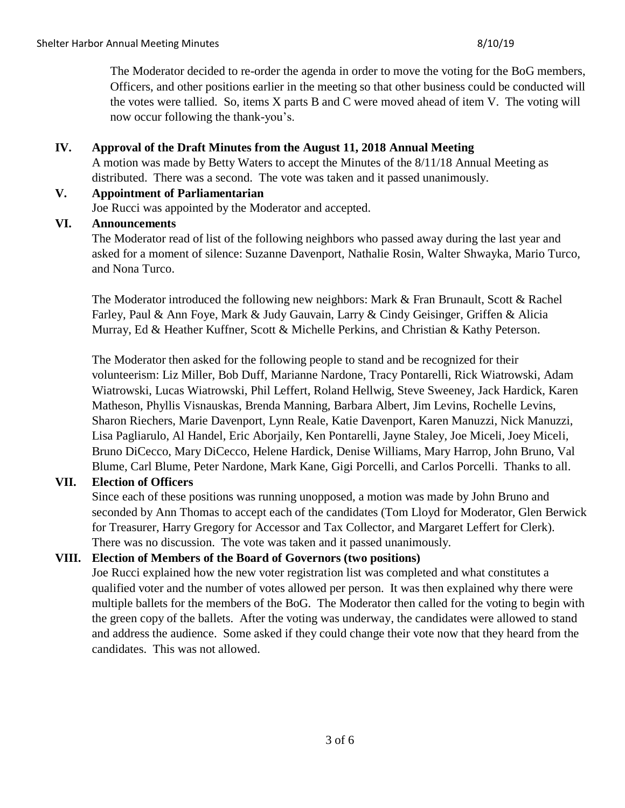The Moderator decided to re-order the agenda in order to move the voting for the BoG members, Officers, and other positions earlier in the meeting so that other business could be conducted will the votes were tallied. So, items X parts B and C were moved ahead of item V. The voting will now occur following the thank-you's.

### **IV. Approval of the Draft Minutes from the August 11, 2018 Annual Meeting**

A motion was made by Betty Waters to accept the Minutes of the 8/11/18 Annual Meeting as distributed. There was a second. The vote was taken and it passed unanimously.

#### **V. Appointment of Parliamentarian**

Joe Rucci was appointed by the Moderator and accepted.

#### **VI. Announcements**

The Moderator read of list of the following neighbors who passed away during the last year and asked for a moment of silence: Suzanne Davenport, Nathalie Rosin, Walter Shwayka, Mario Turco, and Nona Turco.

The Moderator introduced the following new neighbors: Mark & Fran Brunault, Scott & Rachel Farley, Paul & Ann Foye, Mark & Judy Gauvain, Larry & Cindy Geisinger, Griffen & Alicia Murray, Ed & Heather Kuffner, Scott & Michelle Perkins, and Christian & Kathy Peterson.

The Moderator then asked for the following people to stand and be recognized for their volunteerism: Liz Miller, Bob Duff, Marianne Nardone, Tracy Pontarelli, Rick Wiatrowski, Adam Wiatrowski, Lucas Wiatrowski, Phil Leffert, Roland Hellwig, Steve Sweeney, Jack Hardick, Karen Matheson, Phyllis Visnauskas, Brenda Manning, Barbara Albert, Jim Levins, Rochelle Levins, Sharon Riechers, Marie Davenport, Lynn Reale, Katie Davenport, Karen Manuzzi, Nick Manuzzi, Lisa Pagliarulo, Al Handel, Eric Aborjaily, Ken Pontarelli, Jayne Staley, Joe Miceli, Joey Miceli, Bruno DiCecco, Mary DiCecco, Helene Hardick, Denise Williams, Mary Harrop, John Bruno, Val Blume, Carl Blume, Peter Nardone, Mark Kane, Gigi Porcelli, and Carlos Porcelli. Thanks to all.

## **VII. Election of Officers**

Since each of these positions was running unopposed, a motion was made by John Bruno and seconded by Ann Thomas to accept each of the candidates (Tom Lloyd for Moderator, Glen Berwick for Treasurer, Harry Gregory for Accessor and Tax Collector, and Margaret Leffert for Clerk). There was no discussion. The vote was taken and it passed unanimously.

## **VIII. Election of Members of the Board of Governors (two positions)**

Joe Rucci explained how the new voter registration list was completed and what constitutes a qualified voter and the number of votes allowed per person. It was then explained why there were multiple ballets for the members of the BoG. The Moderator then called for the voting to begin with the green copy of the ballets. After the voting was underway, the candidates were allowed to stand and address the audience. Some asked if they could change their vote now that they heard from the candidates. This was not allowed.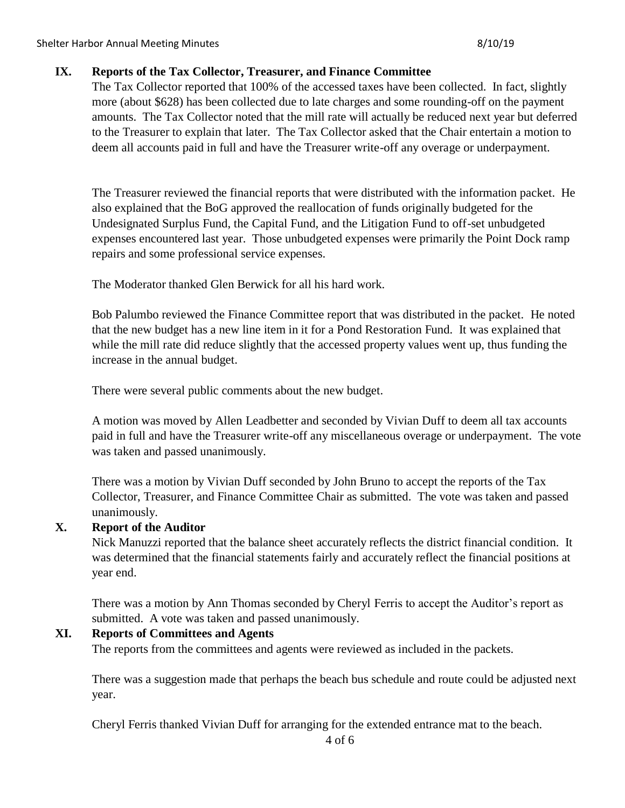### **IX. Reports of the Tax Collector, Treasurer, and Finance Committee**

The Tax Collector reported that 100% of the accessed taxes have been collected. In fact, slightly more (about \$628) has been collected due to late charges and some rounding-off on the payment amounts. The Tax Collector noted that the mill rate will actually be reduced next year but deferred to the Treasurer to explain that later. The Tax Collector asked that the Chair entertain a motion to deem all accounts paid in full and have the Treasurer write-off any overage or underpayment.

The Treasurer reviewed the financial reports that were distributed with the information packet. He also explained that the BoG approved the reallocation of funds originally budgeted for the Undesignated Surplus Fund, the Capital Fund, and the Litigation Fund to off-set unbudgeted expenses encountered last year. Those unbudgeted expenses were primarily the Point Dock ramp repairs and some professional service expenses.

The Moderator thanked Glen Berwick for all his hard work.

Bob Palumbo reviewed the Finance Committee report that was distributed in the packet. He noted that the new budget has a new line item in it for a Pond Restoration Fund. It was explained that while the mill rate did reduce slightly that the accessed property values went up, thus funding the increase in the annual budget.

There were several public comments about the new budget.

A motion was moved by Allen Leadbetter and seconded by Vivian Duff to deem all tax accounts paid in full and have the Treasurer write-off any miscellaneous overage or underpayment. The vote was taken and passed unanimously.

There was a motion by Vivian Duff seconded by John Bruno to accept the reports of the Tax Collector, Treasurer, and Finance Committee Chair as submitted. The vote was taken and passed unanimously.

## **X. Report of the Auditor**

Nick Manuzzi reported that the balance sheet accurately reflects the district financial condition. It was determined that the financial statements fairly and accurately reflect the financial positions at year end.

There was a motion by Ann Thomas seconded by Cheryl Ferris to accept the Auditor's report as submitted. A vote was taken and passed unanimously.

## **XI. Reports of Committees and Agents**

The reports from the committees and agents were reviewed as included in the packets.

There was a suggestion made that perhaps the beach bus schedule and route could be adjusted next year.

Cheryl Ferris thanked Vivian Duff for arranging for the extended entrance mat to the beach.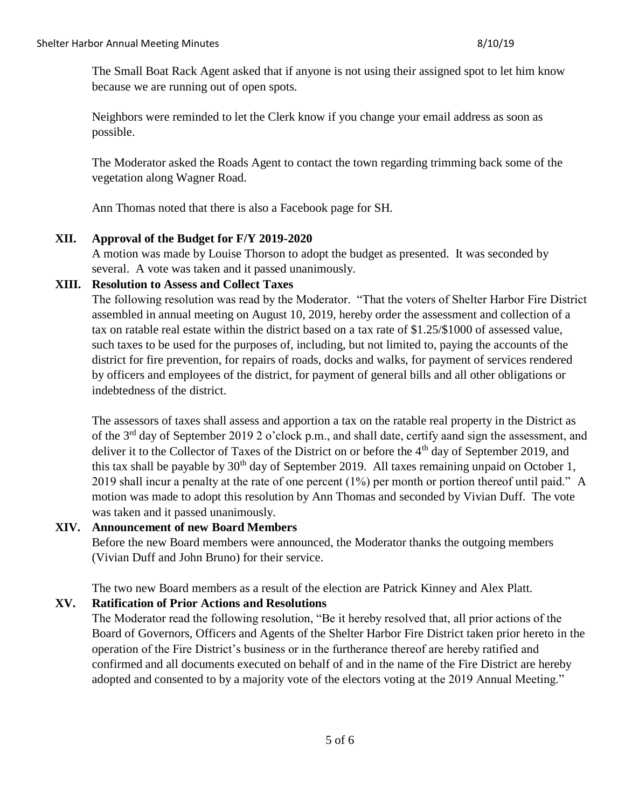The Small Boat Rack Agent asked that if anyone is not using their assigned spot to let him know because we are running out of open spots.

Neighbors were reminded to let the Clerk know if you change your email address as soon as possible.

The Moderator asked the Roads Agent to contact the town regarding trimming back some of the vegetation along Wagner Road.

Ann Thomas noted that there is also a Facebook page for SH.

## **XII. Approval of the Budget for F/Y 2019-2020**

A motion was made by Louise Thorson to adopt the budget as presented. It was seconded by several. A vote was taken and it passed unanimously.

#### **XIII. Resolution to Assess and Collect Taxes**

The following resolution was read by the Moderator. "That the voters of Shelter Harbor Fire District assembled in annual meeting on August 10, 2019, hereby order the assessment and collection of a tax on ratable real estate within the district based on a tax rate of \$1.25/\$1000 of assessed value, such taxes to be used for the purposes of, including, but not limited to, paying the accounts of the district for fire prevention, for repairs of roads, docks and walks, for payment of services rendered by officers and employees of the district, for payment of general bills and all other obligations or indebtedness of the district.

The assessors of taxes shall assess and apportion a tax on the ratable real property in the District as of the 3rd day of September 2019 2 o'clock p.m., and shall date, certify aand sign the assessment, and deliver it to the Collector of Taxes of the District on or before the 4<sup>th</sup> day of September 2019, and this tax shall be payable by  $30<sup>th</sup>$  day of September 2019. All taxes remaining unpaid on October 1, 2019 shall incur a penalty at the rate of one percent (1%) per month or portion thereof until paid." A motion was made to adopt this resolution by Ann Thomas and seconded by Vivian Duff. The vote was taken and it passed unanimously.

## **XIV. Announcement of new Board Members**

Before the new Board members were announced, the Moderator thanks the outgoing members (Vivian Duff and John Bruno) for their service.

The two new Board members as a result of the election are Patrick Kinney and Alex Platt.

# **XV. Ratification of Prior Actions and Resolutions**

The Moderator read the following resolution, "Be it hereby resolved that, all prior actions of the Board of Governors, Officers and Agents of the Shelter Harbor Fire District taken prior hereto in the operation of the Fire District's business or in the furtherance thereof are hereby ratified and confirmed and all documents executed on behalf of and in the name of the Fire District are hereby adopted and consented to by a majority vote of the electors voting at the 2019 Annual Meeting."